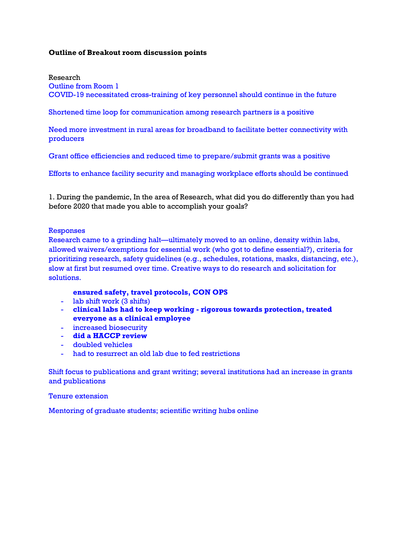### **Outline of Breakout room discussion points**

Research

Outline from Room 1

COVID-19 necessitated cross-training of key personnel should continue in the future

Shortened time loop for communication among research partners is a positive

Need more investment in rural areas for broadband to facilitate better connectivity with producers

Grant office efficiencies and reduced time to prepare/submit grants was a positive

Efforts to enhance facility security and managing workplace efforts should be continued

1. During the pandemic, In the area of Research, what did you do differently than you had before 2020 that made you able to accomplish your goals?

#### Responses

Research came to a grinding halt—ultimately moved to an online, density within labs, allowed waivers/exemptions for essential work (who got to define essential?), criteria for prioritizing research, safety guidelines (e.g., schedules, rotations, masks, distancing, etc.), slow at first but resumed over time. Creative ways to do research and solicitation for solutions.

#### **ensured safety, travel protocols, CON OPS**

- lab shift work (3 shifts)
- **clinical labs had to keep working - rigorous towards protection, treated everyone as a clinical employee**
- increased biosecurity
- **did a HACCP review**
- doubled vehicles
- had to resurrect an old lab due to fed restrictions

Shift focus to publications and grant writing; several institutions had an increase in grants and publications

Tenure extension

Mentoring of graduate students; scientific writing hubs online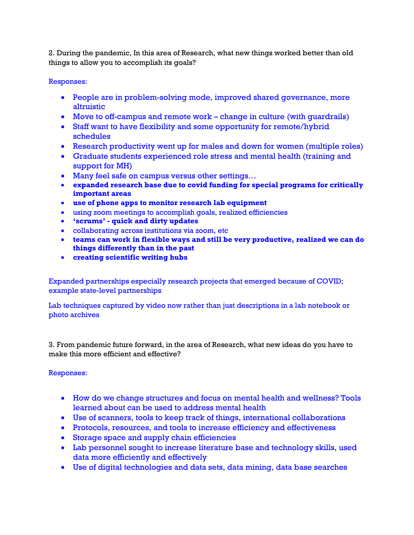2. During the pandemic, In this area of Research, what new things worked better than old things to allow you to accomplish its goals?

## Responses:

- People are in problem-solving mode, improved shared governance, more altruistic
- Move to off-campus and remote work change in culture (with guardrails)
- Staff want to have flexibility and some opportunity for remote/hybrid schedules
- Research productivity went up for males and down for women (multiple roles)
- Graduate students experienced role stress and mental health (training and support for MH)
- Many feel safe on campus versus other settings...
- **expanded research base due to covid funding for special programs for critically important areas**
- **use of phone apps to monitor research lab equipment**
- using zoom meetings to accomplish goals, realized efficiencies
- **'scrums' - quick and dirty updates**
- collaborating across institutions via zoom, etc
- **teams can work in flexible ways and still be very productive, realized we can do things differently than in the past**
- **creating scientific writing hubs**

Expanded partnerships especially research projects that emerged because of COVID; example state-level partnerships

Lab techniques captured by video now rather than just descriptions in a lab notebook or photo archives

3. From pandemic future forward, in the area of Research, what new ideas do you have to make this more efficient and effective?

# Responses:

- How do we change structures and focus on mental health and wellness? Tools learned about can be used to address mental health
- Use of scanners, tools to keep track of things, international collaborations
- Protocols, resources, and tools to increase efficiency and effectiveness
- Storage space and supply chain efficiencies
- Lab personnel sought to increase literature base and technology skills, used data more efficiently and effectively
- Use of digital technologies and data sets, data mining, data base searches